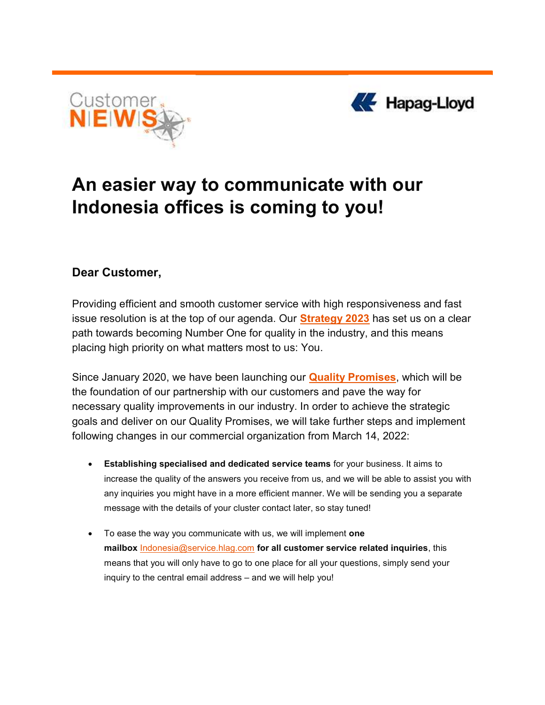



## An easier way to communicate with our Indonesia offices is coming to you!

## Dear Customer,

Providing efficient and smooth customer service with high responsiveness and fast issue resolution is at the top of our agenda. Our **Strategy 2023** has set us on a clear path towards becoming Number One for quality in the industry, and this means placing high priority on what matters most to us: You.

Since January 2020, we have been launching our **Quality Promises**, which will be the foundation of our partnership with our customers and pave the way for necessary quality improvements in our industry. In order to achieve the strategic goals and deliver on our Quality Promises, we will take further steps and implement following changes in our commercial organization from March 14, 2022:

- Establishing specialised and dedicated service teams for your business. It aims to increase the quality of the answers you receive from us, and we will be able to assist you with any inquiries you might have in a more efficient manner. We will be sending you a separate message with the details of your cluster contact later, so stay tuned!
- To ease the way you communicate with us, we will implement one mailbox **Indonesia@service.hlag.com</u>** for all customer service related inquiries, this means that you will only have to go to one place for all your questions, simply send your inquiry to the central email address – and we will help you!